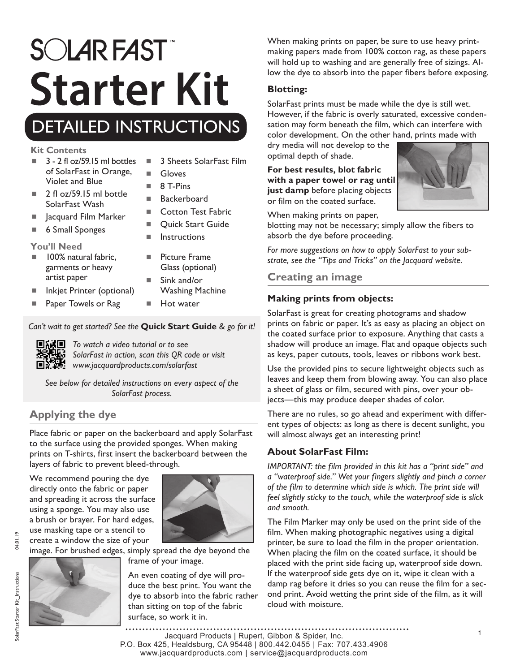# **SOLAR FAST Starter Kit**

# DETAILED INSTRUCTIONS

#### **Kit Contents**

- $\blacksquare$  3 2 fl oz/59.15 ml bottles of SolarFast in Orange, Violet and Blue
- 3 Sheets SolarFast Film

Cotton Test Fabric ■ Ouick Start Guide

- Gloves
- $\blacksquare$  8 T-Pins ■ Backerboard
- $\blacksquare$  2 fl oz/59.15 ml bottle SolarFast Wash
- Jacquard Film Marker
- 6 Small Sponges

#### **You'll Need**

- 100% natural fabric, garments or heavy artist paper
- Inkjet Printer (optional)
- Paper Towels or Rag
- Sink and/or Washing Machine

 $\blacksquare$  Instructions

**Picture Frame** Glass (optional)

Hot water

#### *Can't wait to get started? See the* **Quick Start Guide** *& go for it!*



*To watch a video tutorial or to see SolarFast in action, scan this QR code or visit www.jacquardproducts.com/solarfast*

*See below for detailed instructions on every aspect of the SolarFast process.*

# **Applying the dye**

Place fabric or paper on the backerboard and apply SolarFast to the surface using the provided sponges. When making prints on T-shirts, first insert the backerboard between the layers of fabric to prevent bleed-through.

We recommend pouring the dye directly onto the fabric or paper and spreading it across the surface using a sponge. You may also use a brush or brayer. For hard edges, use masking tape or a stencil to create a window the size of your



image. For brushed edges, simply spread the dye beyond the

frame of your image.

An even coating of dye will produce the best print. You want the dye to absorb into the fabric rather than sitting on top of the fabric surface, so work it in.

When making prints on paper, be sure to use heavy printmaking papers made from 100% cotton rag, as these papers will hold up to washing and are generally free of sizings. Allow the dye to absorb into the paper fibers before exposing.

#### **Blotting:**

SolarFast prints must be made while the dye is still wet. However, if the fabric is overly saturated, excessive condensation may form beneath the film, which can interfere with color development. On the other hand, prints made with

dry media will not develop to the optimal depth of shade.

**For best results, blot fabric with a paper towel or rag until just damp** before placing objects or film on the coated surface.



When making prints on paper,

blotting may not be necessary; simply allow the fibers to absorb the dye before proceeding.

*For more suggestions on how to apply SolarFast to your substrate, see the "Tips and Tricks" on the Jacquard website.*

#### **Creating an image**

#### **Making prints from objects:**

SolarFast is great for creating photograms and shadow prints on fabric or paper. It's as easy as placing an object on the coated surface prior to exposure. Anything that casts a shadow will produce an image. Flat and opaque objects such as keys, paper cutouts, tools, leaves or ribbons work best.

Use the provided pins to secure lightweight objects such as leaves and keep them from blowing away. You can also place a sheet of glass or film, secured with pins, over your objects—this may produce deeper shades of color.

There are no rules, so go ahead and experiment with different types of objects: as long as there is decent sunlight, you will almost always get an interesting print!

#### **About SolarFast Film:**

*IMPORTANT: the film provided in this kit has a "print side" and a "waterproof side." Wet your fingers slightly and pinch a corner of the film to determine which side is which. The print side will feel slightly sticky to the touch, while the waterproof side is slick and smooth.* 

The Film Marker may only be used on the print side of the film. When making photographic negatives using a digital printer, be sure to load the film in the proper orientation. When placing the film on the coated surface, it should be placed with the print side facing up, waterproof side down. If the waterproof side gets dye on it, wipe it clean with a damp rag before it dries so you can reuse the film for a second print. Avoid wetting the print side of the film, as it will cloud with moisture.

<sup>1</sup> Jacquard Products | Rupert, Gibbon & Spider, Inc. P.O. Box 425, Healdsburg, CA 95448 | 800.442.0455 | Fax: 707.433.4906 www.jacquardproducts.com | service@jacquardproducts.com

04.01.19